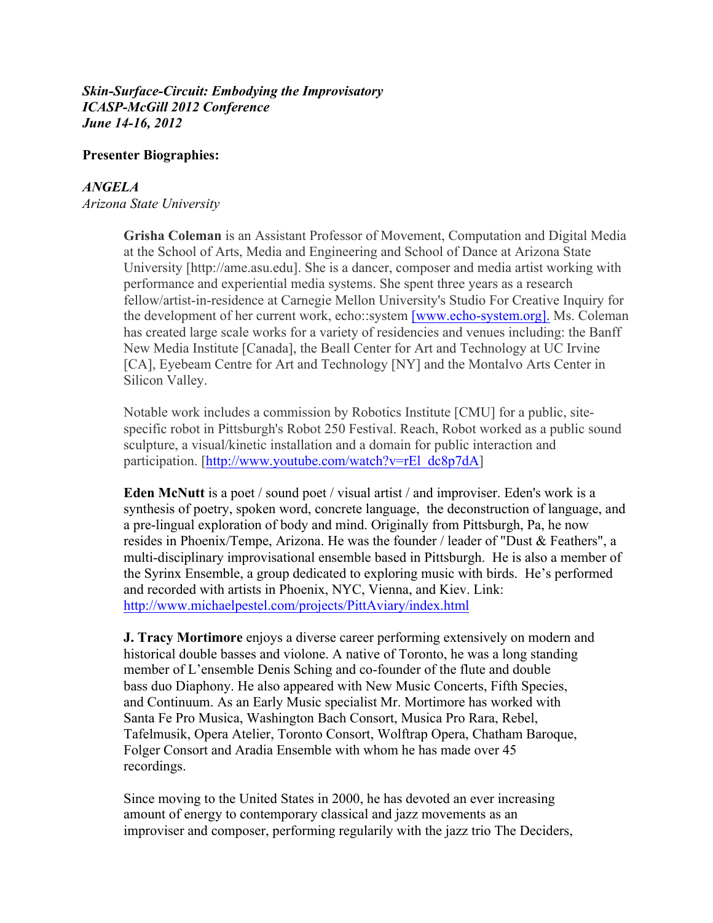#### *Skin-Surface-Circuit: Embodying the Improvisatory ICASP-McGill 2012 Conference June 14-16, 2012*

### **Presenter Biographies:**

## *ANGELA*

*Arizona State University*

**Grisha Coleman** is an Assistant Professor of Movement, Computation and Digital Media at the School of Arts, Media and Engineering and School of Dance at Arizona State University [http://ame.asu.edu]. She is a dancer, composer and media artist working with performance and experiential media systems. She spent three years as a research fellow/artist-in-residence at Carnegie Mellon University's Studio For Creative Inquiry for the development of her current work, echo::system [www.echo-system.org]. Ms. Coleman has created large scale works for a variety of residencies and venues including: the Banff New Media Institute [Canada], the Beall Center for Art and Technology at UC Irvine [CA], Eyebeam Centre for Art and Technology [NY] and the Montalvo Arts Center in Silicon Valley.

Notable work includes a commission by Robotics Institute [CMU] for a public, sitespecific robot in Pittsburgh's Robot 250 Festival. Reach, Robot worked as a public sound sculpture, a visual/kinetic installation and a domain for public interaction and participation. [http://www.youtube.com/watch?v=rEl\_dc8p7dA]

**Eden McNutt** is a poet / sound poet / visual artist / and improviser. Eden's work is a synthesis of poetry, spoken word, concrete language, the deconstruction of language, and a pre-lingual exploration of body and mind. Originally from Pittsburgh, Pa, he now resides in Phoenix/Tempe, Arizona. He was the founder / leader of "Dust & Feathers", a multi-disciplinary improvisational ensemble based in Pittsburgh. He is also a member of the Syrinx Ensemble, a group dedicated to exploring music with birds. He's performed and recorded with artists in Phoenix, NYC, Vienna, and Kiev. Link: http://www.michaelpestel.com/projects/PittAviary/index.html

**J. Tracy Mortimore** enjoys a diverse career performing extensively on modern and historical double basses and violone. A native of Toronto, he was a long standing member of L'ensemble Denis Sching and co-founder of the flute and double bass duo Diaphony. He also appeared with New Music Concerts, Fifth Species, and Continuum. As an Early Music specialist Mr. Mortimore has worked with Santa Fe Pro Musica, Washington Bach Consort, Musica Pro Rara, Rebel, Tafelmusik, Opera Atelier, Toronto Consort, Wolftrap Opera, Chatham Baroque, Folger Consort and Aradia Ensemble with whom he has made over 45 recordings.

Since moving to the United States in 2000, he has devoted an ever increasing amount of energy to contemporary classical and jazz movements as an improviser and composer, performing regularily with the jazz trio The Deciders,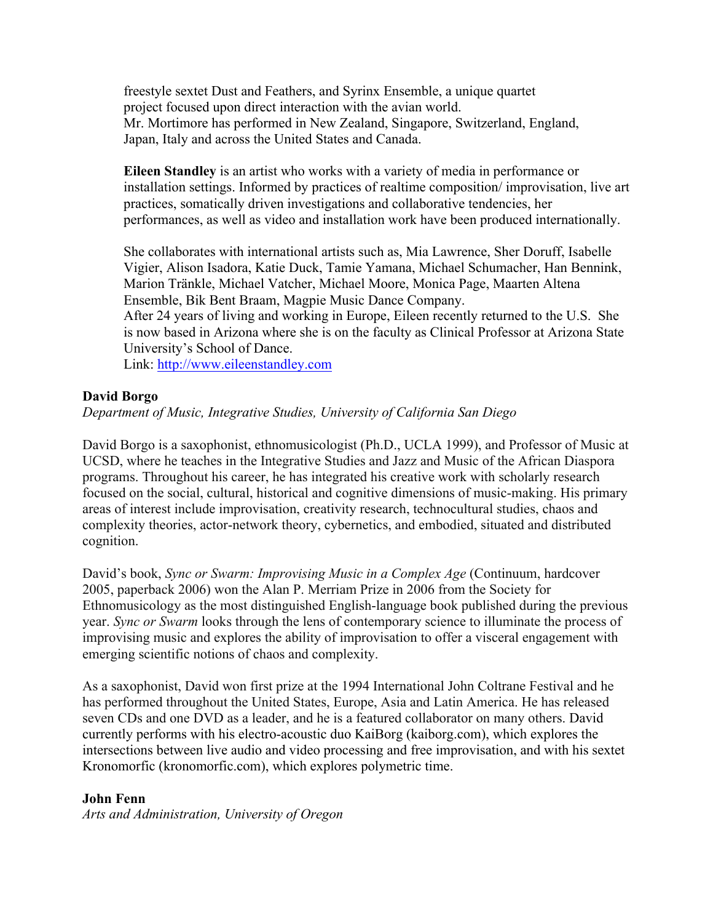freestyle sextet Dust and Feathers, and Syrinx Ensemble, a unique quartet project focused upon direct interaction with the avian world. Mr. Mortimore has performed in New Zealand, Singapore, Switzerland, England, Japan, Italy and across the United States and Canada.

**Eileen Standley** is an artist who works with a variety of media in performance or installation settings. Informed by practices of realtime composition/ improvisation, live art practices, somatically driven investigations and collaborative tendencies, her performances, as well as video and installation work have been produced internationally.

She collaborates with international artists such as, Mia Lawrence, Sher Doruff, Isabelle Vigier, Alison Isadora, Katie Duck, Tamie Yamana, Michael Schumacher, Han Bennink, Marion Tränkle, Michael Vatcher, Michael Moore, Monica Page, Maarten Altena Ensemble, Bik Bent Braam, Magpie Music Dance Company.

After 24 years of living and working in Europe, Eileen recently returned to the U.S. She is now based in Arizona where she is on the faculty as Clinical Professor at Arizona State University's School of Dance.

Link: http://www.eileenstandley.com

### **David Borgo**

*Department of Music, Integrative Studies, University of California San Diego*

David Borgo is a saxophonist, ethnomusicologist (Ph.D., UCLA 1999), and Professor of Music at UCSD, where he teaches in the Integrative Studies and Jazz and Music of the African Diaspora programs. Throughout his career, he has integrated his creative work with scholarly research focused on the social, cultural, historical and cognitive dimensions of music-making. His primary areas of interest include improvisation, creativity research, technocultural studies, chaos and complexity theories, actor-network theory, cybernetics, and embodied, situated and distributed cognition.

David's book, *Sync or Swarm: Improvising Music in a Complex Age* (Continuum, hardcover 2005, paperback 2006) won the Alan P. Merriam Prize in 2006 from the Society for Ethnomusicology as the most distinguished English-language book published during the previous year. *Sync or Swarm* looks through the lens of contemporary science to illuminate the process of improvising music and explores the ability of improvisation to offer a visceral engagement with emerging scientific notions of chaos and complexity.

As a saxophonist, David won first prize at the 1994 International John Coltrane Festival and he has performed throughout the United States, Europe, Asia and Latin America. He has released seven CDs and one DVD as a leader, and he is a featured collaborator on many others. David currently performs with his electro-acoustic duo KaiBorg (kaiborg.com), which explores the intersections between live audio and video processing and free improvisation, and with his sextet Kronomorfic (kronomorfic.com), which explores polymetric time.

## **John Fenn**

*Arts and Administration, University of Oregon*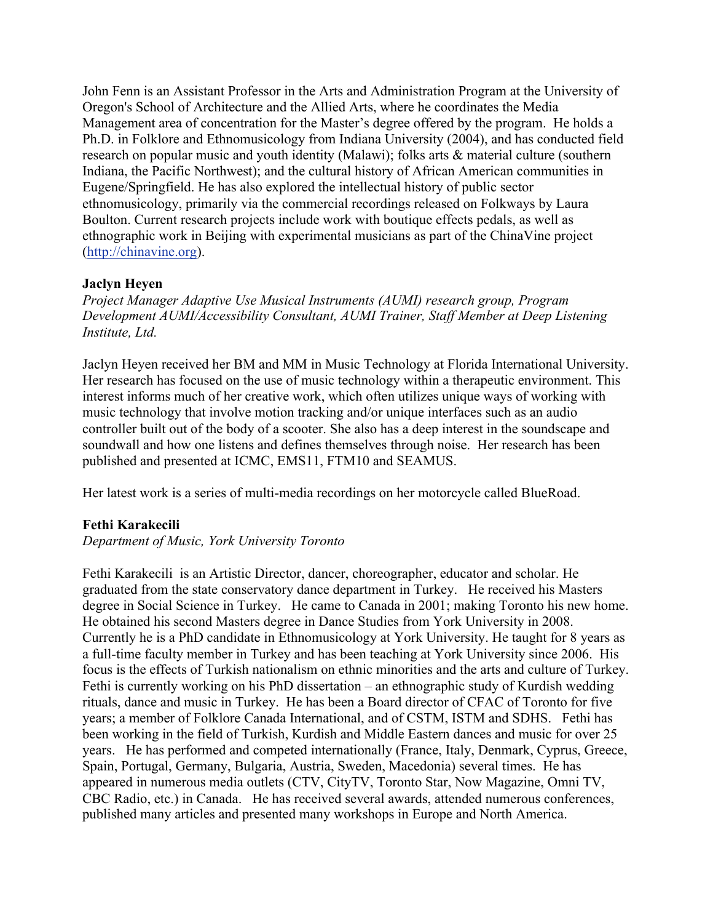John Fenn is an Assistant Professor in the Arts and Administration Program at the University of Oregon's School of Architecture and the Allied Arts, where he coordinates the Media Management area of concentration for the Master's degree offered by the program. He holds a Ph.D. in Folklore and Ethnomusicology from Indiana University (2004), and has conducted field research on popular music and youth identity (Malawi); folks arts & material culture (southern Indiana, the Pacific Northwest); and the cultural history of African American communities in Eugene/Springfield. He has also explored the intellectual history of public sector ethnomusicology, primarily via the commercial recordings released on Folkways by Laura Boulton. Current research projects include work with boutique effects pedals, as well as ethnographic work in Beijing with experimental musicians as part of the ChinaVine project (http://chinavine.org).

## **Jaclyn Heyen**

*Project Manager Adaptive Use Musical Instruments (AUMI) research group, Program Development AUMI/Accessibility Consultant, AUMI Trainer, Staff Member at Deep Listening Institute, Ltd.*

Jaclyn Heyen received her BM and MM in Music Technology at Florida International University. Her research has focused on the use of music technology within a therapeutic environment. This interest informs much of her creative work, which often utilizes unique ways of working with music technology that involve motion tracking and/or unique interfaces such as an audio controller built out of the body of a scooter. She also has a deep interest in the soundscape and soundwall and how one listens and defines themselves through noise. Her research has been published and presented at ICMC, EMS11, FTM10 and SEAMUS.

Her latest work is a series of multi-media recordings on her motorcycle called BlueRoad.

## **Fethi Karakecili**

### *Department of Music, York University Toronto*

Fethi Karakecili is an Artistic Director, dancer, choreographer, educator and scholar. He graduated from the state conservatory dance department in Turkey. He received his Masters degree in Social Science in Turkey. He came to Canada in 2001; making Toronto his new home. He obtained his second Masters degree in Dance Studies from York University in 2008. Currently he is a PhD candidate in Ethnomusicology at York University. He taught for 8 years as a full-time faculty member in Turkey and has been teaching at York University since 2006. His focus is the effects of Turkish nationalism on ethnic minorities and the arts and culture of Turkey. Fethi is currently working on his PhD dissertation – an ethnographic study of Kurdish wedding rituals, dance and music in Turkey. He has been a Board director of CFAC of Toronto for five years; a member of Folklore Canada International, and of CSTM, ISTM and SDHS. Fethi has been working in the field of Turkish, Kurdish and Middle Eastern dances and music for over 25 years. He has performed and competed internationally (France, Italy, Denmark, Cyprus, Greece, Spain, Portugal, Germany, Bulgaria, Austria, Sweden, Macedonia) several times. He has appeared in numerous media outlets (CTV, CityTV, Toronto Star, Now Magazine, Omni TV, CBC Radio, etc.) in Canada. He has received several awards, attended numerous conferences, published many articles and presented many workshops in Europe and North America.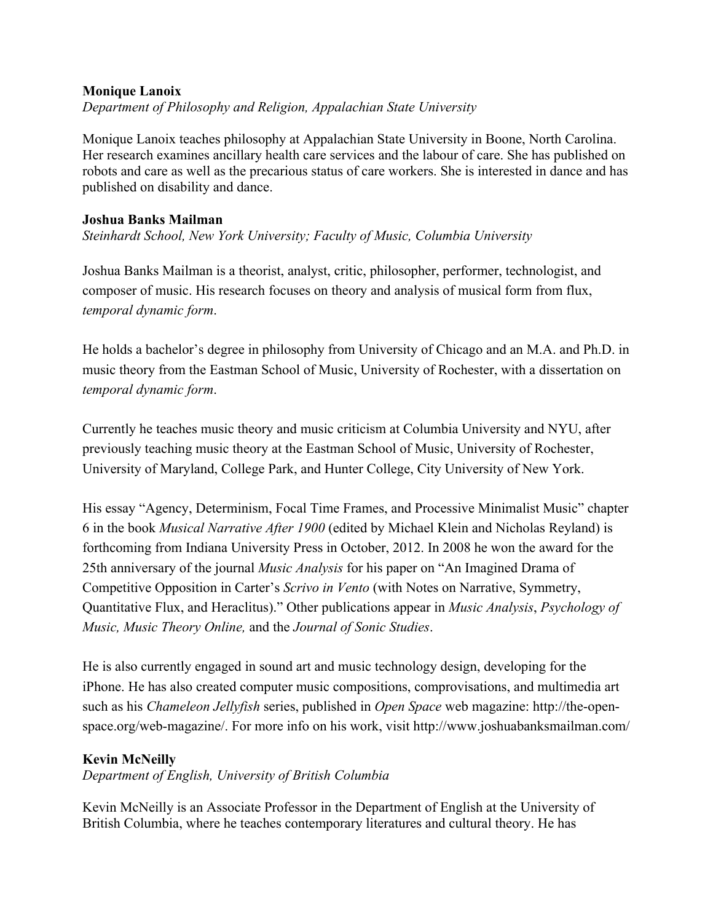## **Monique Lanoix**

*Department of Philosophy and Religion, Appalachian State University*

Monique Lanoix teaches philosophy at Appalachian State University in Boone, North Carolina. Her research examines ancillary health care services and the labour of care. She has published on robots and care as well as the precarious status of care workers. She is interested in dance and has published on disability and dance.

#### **Joshua Banks Mailman**

*Steinhardt School, New York University; Faculty of Music, Columbia University*

Joshua Banks Mailman is a theorist, analyst, critic, philosopher, performer, technologist, and composer of music. His research focuses on theory and analysis of musical form from flux, *temporal dynamic form*.

He holds a bachelor's degree in philosophy from University of Chicago and an M.A. and Ph.D. in music theory from the Eastman School of Music, University of Rochester, with a dissertation on *temporal dynamic form*.

Currently he teaches music theory and music criticism at Columbia University and NYU, after previously teaching music theory at the Eastman School of Music, University of Rochester, University of Maryland, College Park, and Hunter College, City University of New York.

His essay "Agency, Determinism, Focal Time Frames, and Processive Minimalist Music" chapter 6 in the book *Musical Narrative After 1900* (edited by Michael Klein and Nicholas Reyland) is forthcoming from Indiana University Press in October, 2012. In 2008 he won the award for the 25th anniversary of the journal *Music Analysis* for his paper on "An Imagined Drama of Competitive Opposition in Carter's *Scrivo in Vento* (with Notes on Narrative, Symmetry, Quantitative Flux, and Heraclitus)." Other publications appear in *Music Analysis*, *Psychology of Music, Music Theory Online,* and the *Journal of Sonic Studies*.

He is also currently engaged in sound art and music technology design, developing for the iPhone. He has also created computer music compositions, comprovisations, and multimedia art such as his *Chameleon Jellyfish* series, published in *Open Space* web magazine: http://the-openspace.org/web-magazine/. For more info on his work, visit http://www.joshuabanksmailman.com/

## **Kevin McNeilly**

*Department of English, University of British Columbia*

Kevin McNeilly is an Associate Professor in the Department of English at the University of British Columbia, where he teaches contemporary literatures and cultural theory. He has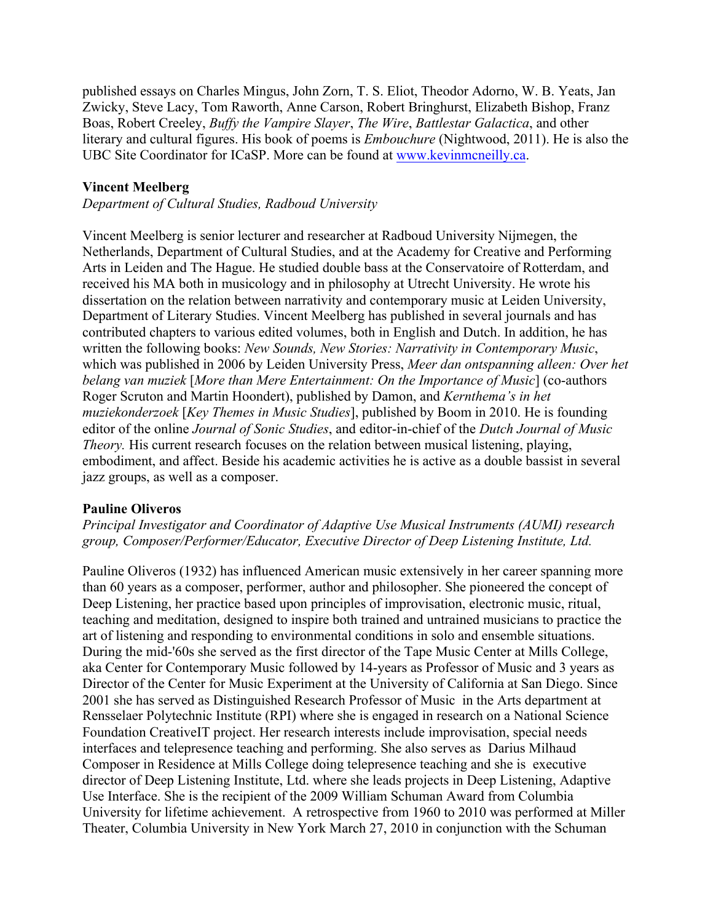published essays on Charles Mingus, John Zorn, T. S. Eliot, Theodor Adorno, W. B. Yeats, Jan Zwicky, Steve Lacy, Tom Raworth, Anne Carson, Robert Bringhurst, Elizabeth Bishop, Franz Boas, Robert Creeley, *Buffy the Vampire Slayer*, *The Wire*, *Battlestar Galactica*, and other literary and cultural figures. His book of poems is *Embouchure* (Nightwood, 2011). He is also the UBC Site Coordinator for ICaSP. More can be found at www.kevinmcneilly.ca.

## **Vincent Meelberg**

*Department of Cultural Studies, Radboud University*

Vincent Meelberg is senior lecturer and researcher at Radboud University Nijmegen, the Netherlands, Department of Cultural Studies, and at the Academy for Creative and Performing Arts in Leiden and The Hague. He studied double bass at the Conservatoire of Rotterdam, and received his MA both in musicology and in philosophy at Utrecht University. He wrote his dissertation on the relation between narrativity and contemporary music at Leiden University, Department of Literary Studies. Vincent Meelberg has published in several journals and has contributed chapters to various edited volumes, both in English and Dutch. In addition, he has written the following books: *New Sounds, New Stories: Narrativity in Contemporary Music*, which was published in 2006 by Leiden University Press, *Meer dan ontspanning alleen: Over het belang van muziek* [*More than Mere Entertainment: On the Importance of Music*] (co-authors Roger Scruton and Martin Hoondert), published by Damon, and *Kernthema's in het muziekonderzoek* [*Key Themes in Music Studies*], published by Boom in 2010. He is founding editor of the online *Journal of Sonic Studies*, and editor-in-chief of the *Dutch Journal of Music Theory.* His current research focuses on the relation between musical listening, playing, embodiment, and affect. Beside his academic activities he is active as a double bassist in several jazz groups, as well as a composer.

#### **Pauline Oliveros**

*Principal Investigator and Coordinator of Adaptive Use Musical Instruments (AUMI) research group, Composer/Performer/Educator, Executive Director of Deep Listening Institute, Ltd.*

Pauline Oliveros (1932) has influenced American music extensively in her career spanning more than 60 years as a composer, performer, author and philosopher. She pioneered the concept of Deep Listening, her practice based upon principles of improvisation, electronic music, ritual, teaching and meditation, designed to inspire both trained and untrained musicians to practice the art of listening and responding to environmental conditions in solo and ensemble situations. During the mid-'60s she served as the first director of the Tape Music Center at Mills College, aka Center for Contemporary Music followed by 14-years as Professor of Music and 3 years as Director of the Center for Music Experiment at the University of California at San Diego. Since 2001 she has served as Distinguished Research Professor of Music in the Arts department at Rensselaer Polytechnic Institute (RPI) where she is engaged in research on a National Science Foundation CreativeIT project. Her research interests include improvisation, special needs interfaces and telepresence teaching and performing. She also serves as Darius Milhaud Composer in Residence at Mills College doing telepresence teaching and she is executive director of Deep Listening Institute, Ltd. where she leads projects in Deep Listening, Adaptive Use Interface. She is the recipient of the 2009 William Schuman Award from Columbia University for lifetime achievement. A retrospective from 1960 to 2010 was performed at Miller Theater, Columbia University in New York March 27, 2010 in conjunction with the Schuman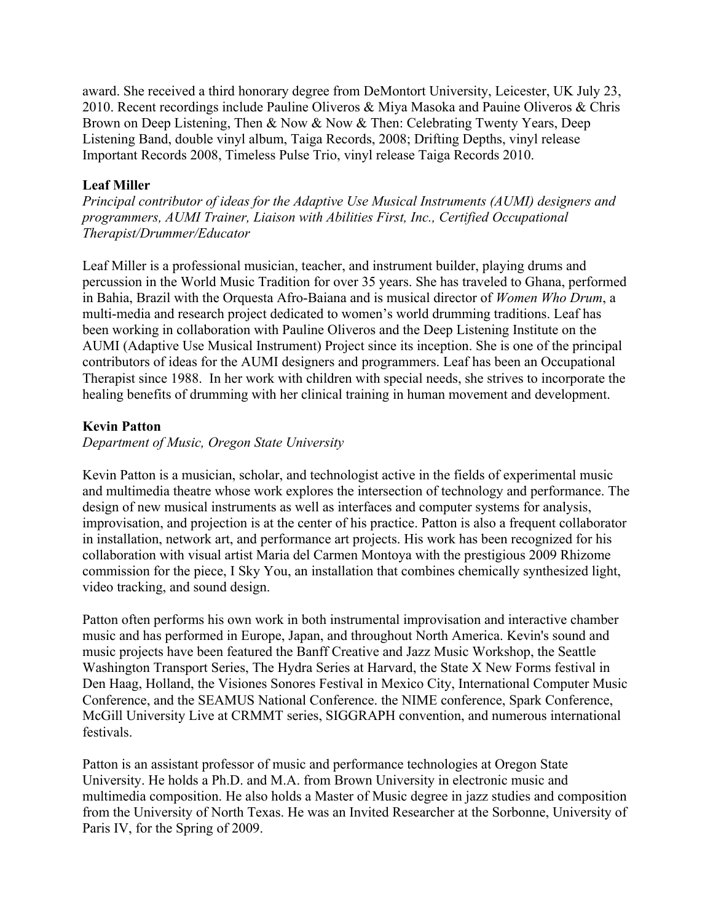award. She received a third honorary degree from DeMontort University, Leicester, UK July 23, 2010. Recent recordings include Pauline Oliveros & Miya Masoka and Pauine Oliveros & Chris Brown on Deep Listening, Then & Now & Now & Then: Celebrating Twenty Years, Deep Listening Band, double vinyl album, Taiga Records, 2008; Drifting Depths, vinyl release Important Records 2008, Timeless Pulse Trio, vinyl release Taiga Records 2010.

# **Leaf Miller**

*Principal contributor of ideas for the Adaptive Use Musical Instruments (AUMI) designers and programmers, AUMI Trainer, Liaison with Abilities First, Inc., Certified Occupational Therapist/Drummer/Educator*

Leaf Miller is a professional musician, teacher, and instrument builder, playing drums and percussion in the World Music Tradition for over 35 years. She has traveled to Ghana, performed in Bahia, Brazil with the Orquesta Afro-Baiana and is musical director of *Women Who Drum*, a multi-media and research project dedicated to women's world drumming traditions. Leaf has been working in collaboration with Pauline Oliveros and the Deep Listening Institute on the AUMI (Adaptive Use Musical Instrument) Project since its inception. She is one of the principal contributors of ideas for the AUMI designers and programmers. Leaf has been an Occupational Therapist since 1988. In her work with children with special needs, she strives to incorporate the healing benefits of drumming with her clinical training in human movement and development.

# **Kevin Patton**

## *Department of Music, Oregon State University*

Kevin Patton is a musician, scholar, and technologist active in the fields of experimental music and multimedia theatre whose work explores the intersection of technology and performance. The design of new musical instruments as well as interfaces and computer systems for analysis, improvisation, and projection is at the center of his practice. Patton is also a frequent collaborator in installation, network art, and performance art projects. His work has been recognized for his collaboration with visual artist Maria del Carmen Montoya with the prestigious 2009 Rhizome commission for the piece, I Sky You, an installation that combines chemically synthesized light, video tracking, and sound design.

Patton often performs his own work in both instrumental improvisation and interactive chamber music and has performed in Europe, Japan, and throughout North America. Kevin's sound and music projects have been featured the Banff Creative and Jazz Music Workshop, the Seattle Washington Transport Series, The Hydra Series at Harvard, the State X New Forms festival in Den Haag, Holland, the Visiones Sonores Festival in Mexico City, International Computer Music Conference, and the SEAMUS National Conference. the NIME conference, Spark Conference, McGill University Live at CRMMT series, SIGGRAPH convention, and numerous international festivals.

Patton is an assistant professor of music and performance technologies at Oregon State University. He holds a Ph.D. and M.A. from Brown University in electronic music and multimedia composition. He also holds a Master of Music degree in jazz studies and composition from the University of North Texas. He was an Invited Researcher at the Sorbonne, University of Paris IV, for the Spring of 2009.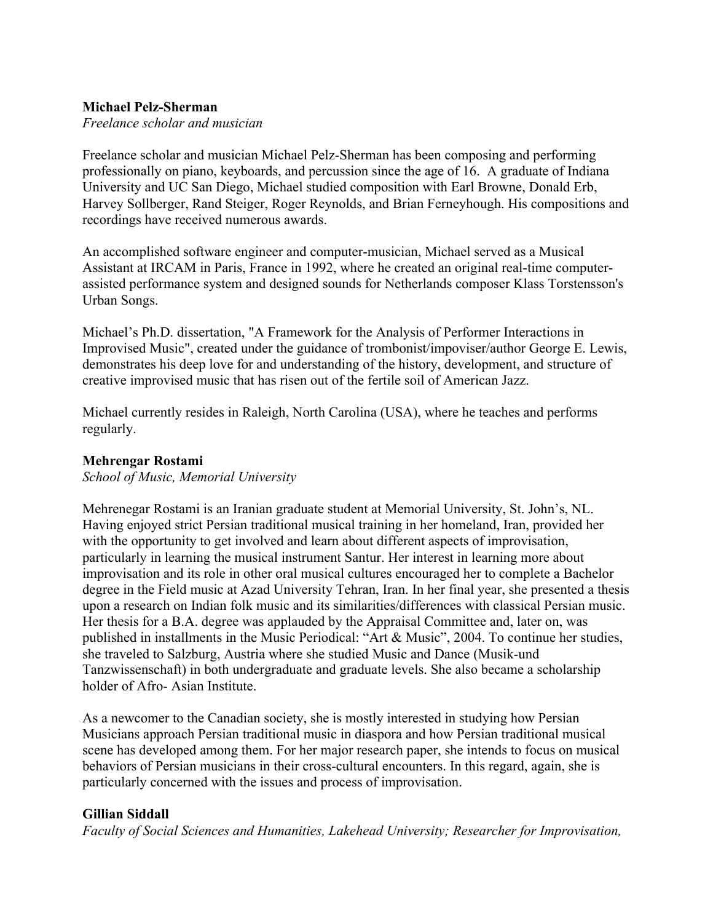#### **Michael Pelz-Sherman**

*Freelance scholar and musician*

Freelance scholar and musician Michael Pelz-Sherman has been composing and performing professionally on piano, keyboards, and percussion since the age of 16. A graduate of Indiana University and UC San Diego, Michael studied composition with Earl Browne, Donald Erb, Harvey Sollberger, Rand Steiger, Roger Reynolds, and Brian Ferneyhough. His compositions and recordings have received numerous awards.

An accomplished software engineer and computer-musician, Michael served as a Musical Assistant at IRCAM in Paris, France in 1992, where he created an original real-time computerassisted performance system and designed sounds for Netherlands composer Klass Torstensson's Urban Songs.

Michael's Ph.D. dissertation, "A Framework for the Analysis of Performer Interactions in Improvised Music", created under the guidance of trombonist/impoviser/author George E. Lewis, demonstrates his deep love for and understanding of the history, development, and structure of creative improvised music that has risen out of the fertile soil of American Jazz.

Michael currently resides in Raleigh, North Carolina (USA), where he teaches and performs regularly.

#### **Mehrengar Rostami**

*School of Music, Memorial University*

Mehrenegar Rostami is an Iranian graduate student at Memorial University, St. John's, NL. Having enjoyed strict Persian traditional musical training in her homeland, Iran, provided her with the opportunity to get involved and learn about different aspects of improvisation, particularly in learning the musical instrument Santur. Her interest in learning more about improvisation and its role in other oral musical cultures encouraged her to complete a Bachelor degree in the Field music at Azad University Tehran, Iran. In her final year, she presented a thesis upon a research on Indian folk music and its similarities/differences with classical Persian music. Her thesis for a B.A. degree was applauded by the Appraisal Committee and, later on, was published in installments in the Music Periodical: "Art & Music", 2004. To continue her studies, she traveled to Salzburg, Austria where she studied Music and Dance (Musik-und Tanzwissenschaft) in both undergraduate and graduate levels. She also became a scholarship holder of Afro- Asian Institute.

As a newcomer to the Canadian society, she is mostly interested in studying how Persian Musicians approach Persian traditional music in diaspora and how Persian traditional musical scene has developed among them. For her major research paper, she intends to focus on musical behaviors of Persian musicians in their cross-cultural encounters. In this regard, again, she is particularly concerned with the issues and process of improvisation.

## **Gillian Siddall**

*Faculty of Social Sciences and Humanities, Lakehead University; Researcher for Improvisation,*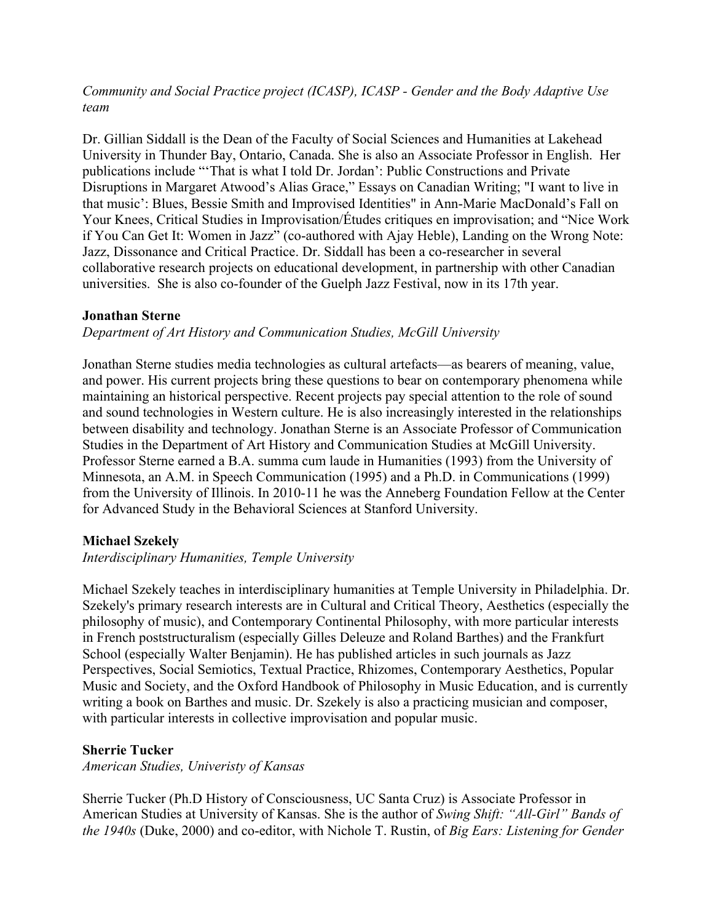# *Community and Social Practice project (ICASP), ICASP - Gender and the Body Adaptive Use team*

Dr. Gillian Siddall is the Dean of the Faculty of Social Sciences and Humanities at Lakehead University in Thunder Bay, Ontario, Canada. She is also an Associate Professor in English. Her publications include "'That is what I told Dr. Jordan': Public Constructions and Private Disruptions in Margaret Atwood's Alias Grace," Essays on Canadian Writing; "I want to live in that music': Blues, Bessie Smith and Improvised Identities" in Ann-Marie MacDonald's Fall on Your Knees, Critical Studies in Improvisation/Études critiques en improvisation; and "Nice Work if You Can Get It: Women in Jazz" (co-authored with Ajay Heble), Landing on the Wrong Note: Jazz, Dissonance and Critical Practice. Dr. Siddall has been a co-researcher in several collaborative research projects on educational development, in partnership with other Canadian universities. She is also co-founder of the Guelph Jazz Festival, now in its 17th year.

## **Jonathan Sterne**

### *Department of Art History and Communication Studies, McGill University*

Jonathan Sterne studies media technologies as cultural artefacts—as bearers of meaning, value, and power. His current projects bring these questions to bear on contemporary phenomena while maintaining an historical perspective. Recent projects pay special attention to the role of sound and sound technologies in Western culture. He is also increasingly interested in the relationships between disability and technology. Jonathan Sterne is an Associate Professor of Communication Studies in the Department of Art History and Communication Studies at McGill University. Professor Sterne earned a B.A. summa cum laude in Humanities (1993) from the University of Minnesota, an A.M. in Speech Communication (1995) and a Ph.D. in Communications (1999) from the University of Illinois. In 2010-11 he was the Anneberg Foundation Fellow at the Center for Advanced Study in the Behavioral Sciences at Stanford University.

## **Michael Szekely**

### *Interdisciplinary Humanities, Temple University*

Michael Szekely teaches in interdisciplinary humanities at Temple University in Philadelphia. Dr. Szekely's primary research interests are in Cultural and Critical Theory, Aesthetics (especially the philosophy of music), and Contemporary Continental Philosophy, with more particular interests in French poststructuralism (especially Gilles Deleuze and Roland Barthes) and the Frankfurt School (especially Walter Benjamin). He has published articles in such journals as Jazz Perspectives, Social Semiotics, Textual Practice, Rhizomes, Contemporary Aesthetics, Popular Music and Society, and the Oxford Handbook of Philosophy in Music Education, and is currently writing a book on Barthes and music. Dr. Szekely is also a practicing musician and composer, with particular interests in collective improvisation and popular music.

#### **Sherrie Tucker**

*American Studies, Univeristy of Kansas*

Sherrie Tucker (Ph.D History of Consciousness, UC Santa Cruz) is Associate Professor in American Studies at University of Kansas. She is the author of *Swing Shift: "All-Girl" Bands of the 1940s* (Duke, 2000) and co-editor, with Nichole T. Rustin, of *Big Ears: Listening for Gender*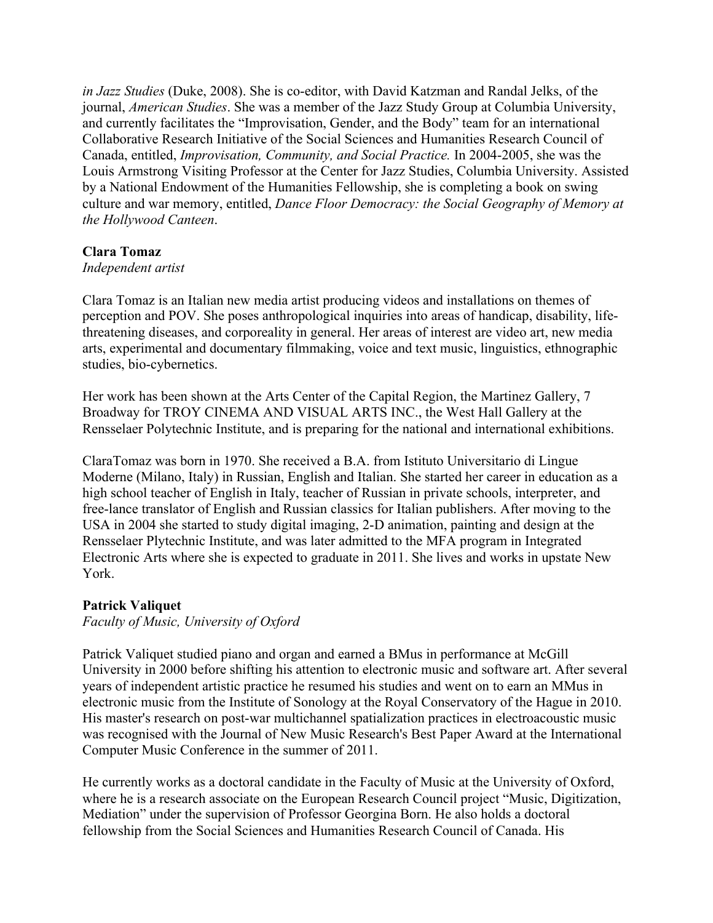*in Jazz Studies* (Duke, 2008). She is co-editor, with David Katzman and Randal Jelks, of the journal, *American Studies*. She was a member of the Jazz Study Group at Columbia University, and currently facilitates the "Improvisation, Gender, and the Body" team for an international Collaborative Research Initiative of the Social Sciences and Humanities Research Council of Canada, entitled, *Improvisation, Community, and Social Practice.* In 2004-2005, she was the Louis Armstrong Visiting Professor at the Center for Jazz Studies, Columbia University. Assisted by a National Endowment of the Humanities Fellowship, she is completing a book on swing culture and war memory, entitled, *Dance Floor Democracy: the Social Geography of Memory at the Hollywood Canteen*.

### **Clara Tomaz**

### *Independent artist*

Clara Tomaz is an Italian new media artist producing videos and installations on themes of perception and POV. She poses anthropological inquiries into areas of handicap, disability, lifethreatening diseases, and corporeality in general. Her areas of interest are video art, new media arts, experimental and documentary filmmaking, voice and text music, linguistics, ethnographic studies, bio-cybernetics.

Her work has been shown at the Arts Center of the Capital Region, the Martinez Gallery, 7 Broadway for TROY CINEMA AND VISUAL ARTS INC., the West Hall Gallery at the Rensselaer Polytechnic Institute, and is preparing for the national and international exhibitions.

ClaraTomaz was born in 1970. She received a B.A. from Istituto Universitario di Lingue Moderne (Milano, Italy) in Russian, English and Italian. She started her career in education as a high school teacher of English in Italy, teacher of Russian in private schools, interpreter, and free-lance translator of English and Russian classics for Italian publishers. After moving to the USA in 2004 she started to study digital imaging, 2-D animation, painting and design at the Rensselaer Plytechnic Institute, and was later admitted to the MFA program in Integrated Electronic Arts where she is expected to graduate in 2011. She lives and works in upstate New York.

## **Patrick Valiquet**

*Faculty of Music, University of Oxford*

Patrick Valiquet studied piano and organ and earned a BMus in performance at McGill University in 2000 before shifting his attention to electronic music and software art. After several years of independent artistic practice he resumed his studies and went on to earn an MMus in electronic music from the Institute of Sonology at the Royal Conservatory of the Hague in 2010. His master's research on post-war multichannel spatialization practices in electroacoustic music was recognised with the Journal of New Music Research's Best Paper Award at the International Computer Music Conference in the summer of 2011.

He currently works as a doctoral candidate in the Faculty of Music at the University of Oxford, where he is a research associate on the European Research Council project "Music, Digitization, Mediation" under the supervision of Professor Georgina Born. He also holds a doctoral fellowship from the Social Sciences and Humanities Research Council of Canada. His